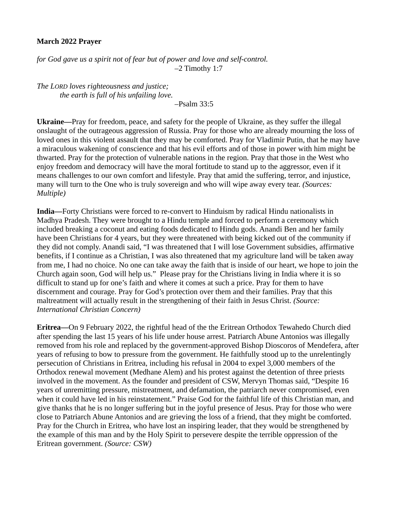## **March 2022 Prayer**

*for God gave us a spirit not of fear but of power and love and self-control.* –2 Timothy 1:7

*The LORD loves righteousness and justice; the earth is full of his unfailing love.*

–Psalm 33:5

**Ukraine—**Pray for freedom, peace, and safety for the people of Ukraine, as they suffer the illegal onslaught of the outrageous aggression of Russia. Pray for those who are already mourning the loss of loved ones in this violent assault that they may be comforted. Pray for Vladimir Putin, that he may have a miraculous wakening of conscience and that his evil efforts and of those in power with him might be thwarted. Pray for the protection of vulnerable nations in the region. Pray that those in the West who enjoy freedom and democracy will have the moral fortitude to stand up to the aggressor, even if it means challenges to our own comfort and lifestyle. Pray that amid the suffering, terror, and injustice, many will turn to the One who is truly sovereign and who will wipe away every tear. *(Sources: Multiple)*

**India—**Forty Christians were forced to re-convert to Hinduism by radical Hindu nationalists in Madhya Pradesh. They were brought to a Hindu temple and forced to perform a ceremony which included breaking a coconut and eating foods dedicated to Hindu gods. Anandi Ben and her family have been Christians for 4 years, but they were threatened with being kicked out of the community if they did not comply. Anandi said, "I was threatened that I will lose Government subsidies, affirmative benefits, if I continue as a Christian, I was also threatened that my agriculture land will be taken away from me, I had no choice. No one can take away the faith that is inside of our heart, we hope to join the Church again soon, God will help us." Please pray for the Christians living in India where it is so difficult to stand up for one's faith and where it comes at such a price. Pray for them to have discernment and courage. Pray for God's protection over them and their families. Pray that this maltreatment will actually result in the strengthening of their faith in Jesus Christ. *(Source: International Christian Concern)*

**Eritrea—**On 9 February 2022, the rightful head of the the Eritrean Orthodox Tewahedo Church died after spending the last 15 years of his life under house arrest. Patriarch Abune Antonios was illegally removed from his role and replaced by the government-approved Bishop Dioscoros of Mendefera, after years of refusing to bow to pressure from the government. He faithfully stood up to the unrelentingly persecution of Christians in Eritrea, including his refusal in 2004 to expel 3,000 members of the Orthodox renewal movement (Medhane Alem) and his protest against the detention of three priests involved in the movement. As the founder and president of CSW, Mervyn Thomas said, "Despite 16 years of unremitting pressure, mistreatment, and defamation, the patriarch never compromised, even when it could have led in his reinstatement." Praise God for the faithful life of this Christian man, and give thanks that he is no longer suffering but in the joyful presence of Jesus. Pray for those who were close to Patriarch Abune Antonios and are grieving the loss of a friend, that they might be comforted. Pray for the Church in Eritrea, who have lost an inspiring leader, that they would be strengthened by the example of this man and by the Holy Spirit to persevere despite the terrible oppression of the Eritrean government. *(Source: CSW)*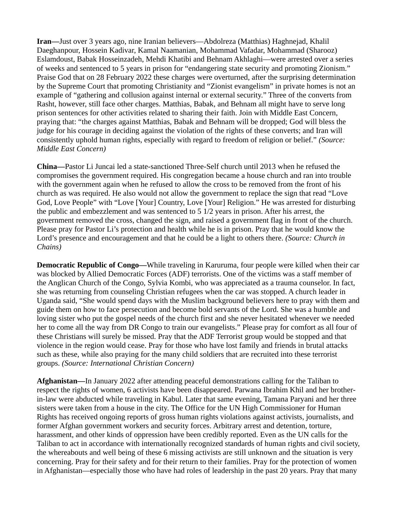**Iran—**Just over 3 years ago, nine Iranian believers—Abdolreza (Matthias) Haghnejad, Khalil Daeghanpour, Hossein Kadivar, Kamal Naamanian, Mohammad Vafadar, Mohammad (Sharooz) Eslamdoust, Babak Hosseinzadeh, Mehdi Khatibi and Behnam Akhlaghi—were arrested over a series of weeks and sentenced to 5 years in prison for "endangering state security and promoting Zionism." Praise God that on 28 February 2022 these charges were overturned, after the surprising determination by the Supreme Court that promoting Christianity and "Zionist evangelism" in private homes is not an example of "gathering and collusion against internal or external security." Three of the converts from Rasht, however, still face other charges. Matthias, Babak, and Behnam all might have to serve long prison sentences for other activities related to sharing their faith. Join with Middle East Concern, praying that: "the charges against Matthias, Babak and Behnam will be dropped; God will bless the judge for his courage in deciding against the violation of the rights of these converts; and Iran will consistently uphold human rights, especially with regard to freedom of religion or belief." *(Source: Middle East Concern)*

**China—**Pastor Li Juncai led a state-sanctioned Three-Self church until 2013 when he refused the compromises the government required. His congregation became a house church and ran into trouble with the government again when he refused to allow the cross to be removed from the front of his church as was required. He also would not allow the government to replace the sign that read "Love God, Love People" with "Love [Your] Country, Love [Your] Religion." He was arrested for disturbing the public and embezzlement and was sentenced to 5 1/2 years in prison. After his arrest, the government removed the cross, changed the sign, and raised a government flag in front of the church. Please pray for Pastor Li's protection and health while he is in prison. Pray that he would know the Lord's presence and encouragement and that he could be a light to others there. *(Source: Church in Chains)*

**Democratic Republic of Congo—**While traveling in Karuruma, four people were killed when their car was blocked by Allied Democratic Forces (ADF) terrorists. One of the victims was a staff member of the Anglican Church of the Congo, Sylvia Kombi, who was appreciated as a trauma counselor. In fact, she was returning from counseling Christian refugees when the car was stopped. A church leader in Uganda said, "She would spend days with the Muslim background believers here to pray with them and guide them on how to face persecution and become bold servants of the Lord. She was a humble and loving sister who put the gospel needs of the church first and she never hesitated whenever we needed her to come all the way from DR Congo to train our evangelists." Please pray for comfort as all four of these Christians will surely be missed. Pray that the ADF Terrorist group would be stopped and that violence in the region would cease. Pray for those who have lost family and friends in brutal attacks such as these, while also praying for the many child soldiers that are recruited into these terrorist groups. *(Source: International Christian Concern)*

**Afghanistan—**In January 2022 after attending peaceful demonstrations calling for the Taliban to respect the rights of women, 6 activists have been disappeared. Parwana Ibrahim Khil and her brotherin-law were abducted while traveling in Kabul. Later that same evening, Tamana Paryani and her three sisters were taken from a house in the city. The Office for the UN High Commissioner for Human Rights has received ongoing reports of gross human rights violations against activists, journalists, and former Afghan government workers and security forces. Arbitrary arrest and detention, torture, harassment, and other kinds of oppression have been credibly reported. Even as the UN calls for the Taliban to act in accordance with internationally recognized standards of human rights and civil society, the whereabouts and well being of these 6 missing activists are still unknown and the situation is very concerning. Pray for their safety and for their return to their families. Pray for the protection of women in Afghanistan—especially those who have had roles of leadership in the past 20 years. Pray that many